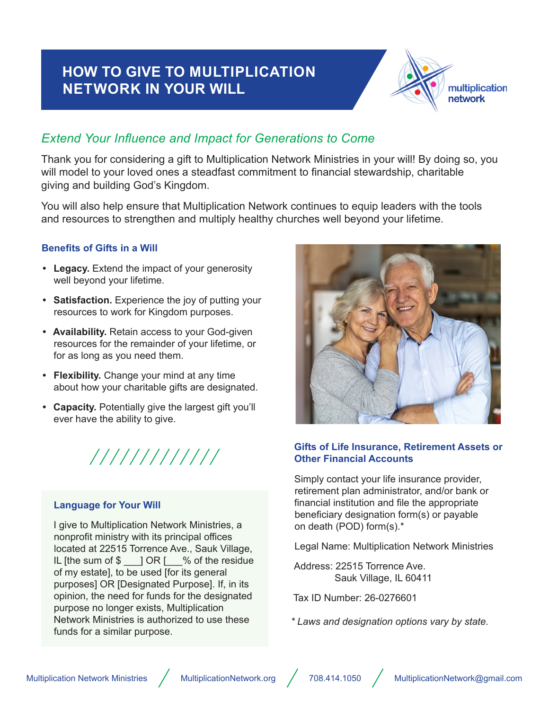# **HOW TO GIVE TO MULTIPLICATION NETWORK IN YOUR WILL**



# *Extend Your Influence and Impact for Generations to Come*

Thank you for considering a gift to Multiplication Network Ministries in your will! By doing so, you will model to your loved ones a steadfast commitment to financial stewardship, charitable giving and building God's Kingdom.

You will also help ensure that Multiplication Network continues to equip leaders with the tools and resources to strengthen and multiply healthy churches well beyond your lifetime.

#### **Benefits of Gifts in a Will**

- **• Legacy.** Extend the impact of your generosity well beyond your lifetime.
- **• Satisfaction.** Experience the joy of putting your resources to work for Kingdom purposes.
- **• Availability.** Retain access to your God-given resources for the remainder of your lifetime, or for as long as you need them.
- **• Flexibility.** Change your mind at any time about how your charitable gifts are designated.
- **• Capacity.** Potentially give the largest gift you'll ever have the ability to give.



#### **Language for Your Will**

I give to Multiplication Network Ministries, a nonprofit ministry with its principal offices located at 22515 Torrence Ave., Sauk Village, IL [the sum of \$ \_\_\_] OR [\_\_\_% of the residue of my estate], to be used [for its general purposes] OR [Designated Purpose]. If, in its opinion, the need for funds for the designated purpose no longer exists, Multiplication Network Ministries is authorized to use these funds for a similar purpose.



#### **Gifts of Life Insurance, Retirement Assets or Other Financial Accounts**

Simply contact your life insurance provider, retirement plan administrator, and/or bank or financial institution and file the appropriate beneficiary designation form(s) or payable on death (POD) form(s).\*

Legal Name: Multiplication Network Ministries

Address: 22515 Torrence Ave. Sauk Village, IL 60411

Tax ID Number: 26-0276601

*\* Laws and designation options vary by state.*